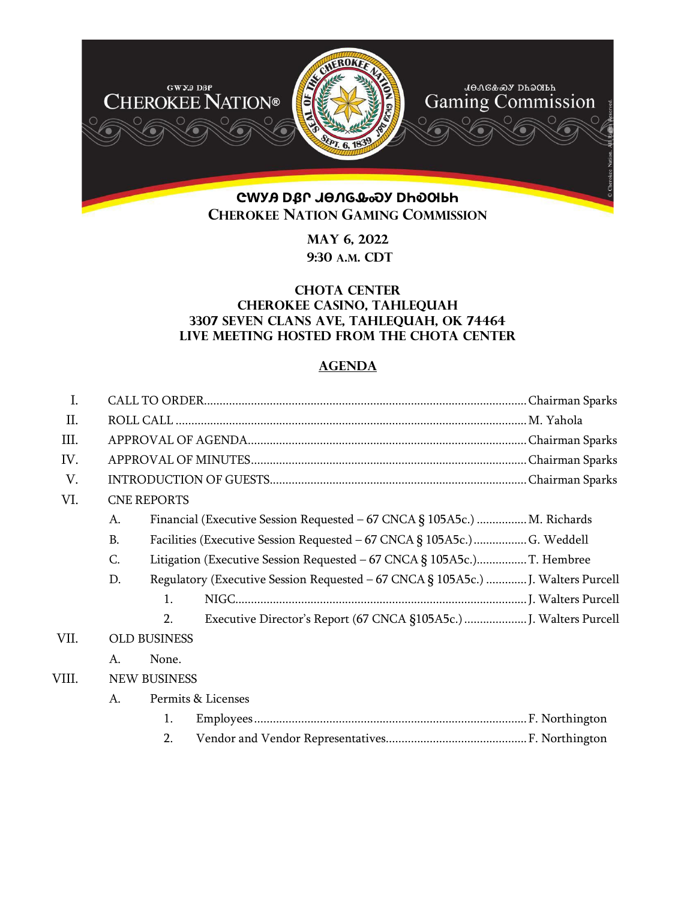

**May 6, 2022 9:30 A.M. CDT** 

## **Chota Center Cherokee Casino, Tahlequah 3307 Seven Clans Ave, Tahlequah, OK 74464 Live meeting hosted from the chota center**

## **AGENDA**

| $\mathbf{I}$ . |                     |                                                                        |                                                                                  |  |  |
|----------------|---------------------|------------------------------------------------------------------------|----------------------------------------------------------------------------------|--|--|
| II.            |                     |                                                                        |                                                                                  |  |  |
| III.           |                     |                                                                        |                                                                                  |  |  |
| IV.            |                     |                                                                        |                                                                                  |  |  |
| V.             |                     |                                                                        |                                                                                  |  |  |
| VI.            |                     | <b>CNE REPORTS</b>                                                     |                                                                                  |  |  |
|                | A.                  |                                                                        | Financial (Executive Session Requested - 67 CNCA § 105A5c.)  M. Richards         |  |  |
|                | <b>B.</b>           |                                                                        | Facilities (Executive Session Requested - 67 CNCA § 105A5c.)  G. Weddell         |  |  |
|                | C.                  | Litigation (Executive Session Requested - 67 CNCA § 105A5c.)T. Hembree |                                                                                  |  |  |
|                | D.                  |                                                                        | Regulatory (Executive Session Requested - 67 CNCA § 105A5c.)  J. Walters Purcell |  |  |
|                |                     | $\mathbf{1}$ .                                                         |                                                                                  |  |  |
|                |                     | 2.                                                                     |                                                                                  |  |  |
| VII.           | <b>OLD BUSINESS</b> |                                                                        |                                                                                  |  |  |
|                | A.                  | None.                                                                  |                                                                                  |  |  |
| VIII.          |                     | <b>NEW BUSINESS</b>                                                    |                                                                                  |  |  |
|                | A.                  |                                                                        | Permits & Licenses                                                               |  |  |
|                |                     | 1.                                                                     |                                                                                  |  |  |
|                |                     | 2.                                                                     |                                                                                  |  |  |
|                |                     |                                                                        |                                                                                  |  |  |